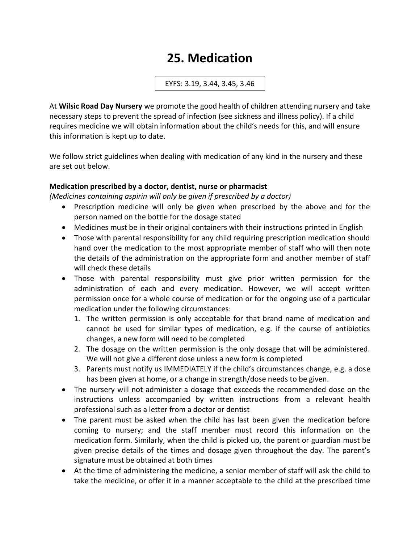# **25. Medication**

EYFS: 3.19, 3.44, 3.45, 3.46

At **Wilsic Road Day Nursery** we promote the good health of children attending nursery and take necessary steps to prevent the spread of infection (see sickness and illness policy). If a child requires medicine we will obtain information about the child's needs for this, and will ensure this information is kept up to date.

We follow strict guidelines when dealing with medication of any kind in the nursery and these are set out below.

## **Medication prescribed by a doctor, dentist, nurse or pharmacist**

*(Medicines containing aspirin will only be given if prescribed by a doctor)*

- Prescription medicine will only be given when prescribed by the above and for the person named on the bottle for the dosage stated
- Medicines must be in their original containers with their instructions printed in English
- Those with parental responsibility for any child requiring prescription medication should hand over the medication to the most appropriate member of staff who will then note the details of the administration on the appropriate form and another member of staff will check these details
- Those with parental responsibility must give prior written permission for the administration of each and every medication. However, we will accept written permission once for a whole course of medication or for the ongoing use of a particular medication under the following circumstances:
	- 1. The written permission is only acceptable for that brand name of medication and cannot be used for similar types of medication, e.g. if the course of antibiotics changes, a new form will need to be completed
	- 2. The dosage on the written permission is the only dosage that will be administered. We will not give a different dose unless a new form is completed
	- 3. Parents must notify us IMMEDIATELY if the child's circumstances change, e.g. a dose has been given at home, or a change in strength/dose needs to be given.
- The nursery will not administer a dosage that exceeds the recommended dose on the instructions unless accompanied by written instructions from a relevant health professional such as a letter from a doctor or dentist
- The parent must be asked when the child has last been given the medication before coming to nursery; and the staff member must record this information on the medication form. Similarly, when the child is picked up, the parent or guardian must be given precise details of the times and dosage given throughout the day. The parent's signature must be obtained at both times
- At the time of administering the medicine, a senior member of staff will ask the child to take the medicine, or offer it in a manner acceptable to the child at the prescribed time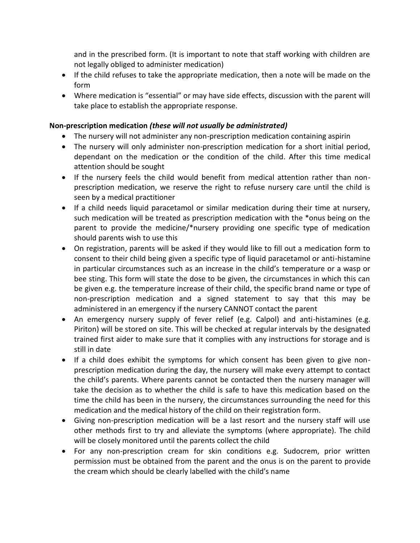and in the prescribed form. (It is important to note that staff working with children are not legally obliged to administer medication)

- If the child refuses to take the appropriate medication, then a note will be made on the form
- Where medication is "essential" or may have side effects, discussion with the parent will take place to establish the appropriate response.

#### **Non-prescription medication** *(these will not usually be administrated)*

- The nursery will not administer any non-prescription medication containing aspirin
- The nursery will only administer non-prescription medication for a short initial period, dependant on the medication or the condition of the child. After this time medical attention should be sought
- If the nursery feels the child would benefit from medical attention rather than nonprescription medication, we reserve the right to refuse nursery care until the child is seen by a medical practitioner
- If a child needs liquid paracetamol or similar medication during their time at nursery, such medication will be treated as prescription medication with the \*onus being on the parent to provide the medicine/\*nursery providing one specific type of medication should parents wish to use this
- On registration, parents will be asked if they would like to fill out a medication form to consent to their child being given a specific type of liquid paracetamol or anti-histamine in particular circumstances such as an increase in the child's temperature or a wasp or bee sting. This form will state the dose to be given, the circumstances in which this can be given e.g. the temperature increase of their child, the specific brand name or type of non-prescription medication and a signed statement to say that this may be administered in an emergency if the nursery CANNOT contact the parent
- An emergency nursery supply of fever relief (e.g. Calpol) and anti-histamines (e.g. Piriton) will be stored on site. This will be checked at regular intervals by the designated trained first aider to make sure that it complies with any instructions for storage and is still in date
- If a child does exhibit the symptoms for which consent has been given to give nonprescription medication during the day, the nursery will make every attempt to contact the child's parents. Where parents cannot be contacted then the nursery manager will take the decision as to whether the child is safe to have this medication based on the time the child has been in the nursery, the circumstances surrounding the need for this medication and the medical history of the child on their registration form.
- Giving non-prescription medication will be a last resort and the nursery staff will use other methods first to try and alleviate the symptoms (where appropriate). The child will be closely monitored until the parents collect the child
- For any non-prescription cream for skin conditions e.g. Sudocrem, prior written permission must be obtained from the parent and the onus is on the parent to provide the cream which should be clearly labelled with the child's name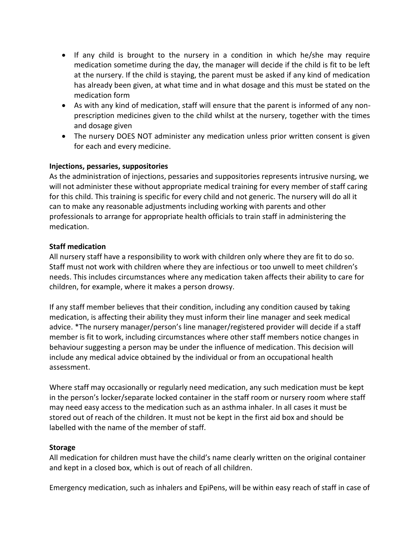- If any child is brought to the nursery in a condition in which he/she may require medication sometime during the day, the manager will decide if the child is fit to be left at the nursery. If the child is staying, the parent must be asked if any kind of medication has already been given, at what time and in what dosage and this must be stated on the medication form
- As with any kind of medication, staff will ensure that the parent is informed of any nonprescription medicines given to the child whilst at the nursery, together with the times and dosage given
- The nursery DOES NOT administer any medication unless prior written consent is given for each and every medicine.

## **Injections, pessaries, suppositories**

As the administration of injections, pessaries and suppositories represents intrusive nursing, we will not administer these without appropriate medical training for every member of staff caring for this child. This training is specific for every child and not generic. The nursery will do all it can to make any reasonable adjustments including working with parents and other professionals to arrange for appropriate health officials to train staff in administering the medication.

#### **Staff medication**

All nursery staff have a responsibility to work with children only where they are fit to do so. Staff must not work with children where they are infectious or too unwell to meet children's needs. This includes circumstances where any medication taken affects their ability to care for children, for example, where it makes a person drowsy.

If any staff member believes that their condition, including any condition caused by taking medication, is affecting their ability they must inform their line manager and seek medical advice. \*The nursery manager/person's line manager/registered provider will decide if a staff member is fit to work, including circumstances where other staff members notice changes in behaviour suggesting a person may be under the influence of medication. This decision will include any medical advice obtained by the individual or from an occupational health assessment.

Where staff may occasionally or regularly need medication, any such medication must be kept in the person's locker/separate locked container in the staff room or nursery room where staff may need easy access to the medication such as an asthma inhaler. In all cases it must be stored out of reach of the children. It must not be kept in the first aid box and should be labelled with the name of the member of staff.

#### **Storage**

All medication for children must have the child's name clearly written on the original container and kept in a closed box, which is out of reach of all children.

Emergency medication, such as inhalers and EpiPens, will be within easy reach of staff in case of